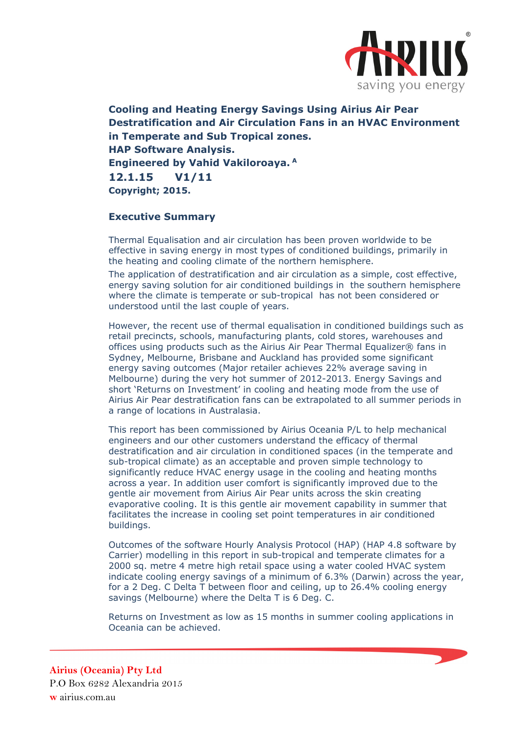

**Cooling and Heating Energy Savings Using Airius Air Pear Destratification and Air Circulation Fans in an HVAC Environment in Temperate and Sub Tropical zones. HAP Software Analysis. Engineered by Vahid Vakiloroaya. A 12.1.15 V1/11 Copyright; 2015.** 

# **Executive Summary**

Thermal Equalisation and air circulation has been proven worldwide to be effective in saving energy in most types of conditioned buildings, primarily in the heating and cooling climate of the northern hemisphere.

The application of destratification and air circulation as a simple, cost effective, energy saving solution for air conditioned buildings in the southern hemisphere where the climate is temperate or sub-tropical has not been considered or understood until the last couple of years.

However, the recent use of thermal equalisation in conditioned buildings such as retail precincts, schools, manufacturing plants, cold stores, warehouses and offices using products such as the Airius Air Pear Thermal Equalizer® fans in Sydney, Melbourne, Brisbane and Auckland has provided some significant energy saving outcomes (Major retailer achieves 22% average saving in Melbourne) during the very hot summer of 2012-2013. Energy Savings and short 'Returns on Investment' in cooling and heating mode from the use of Airius Air Pear destratification fans can be extrapolated to all summer periods in a range of locations in Australasia.

This report has been commissioned by Airius Oceania P/L to help mechanical engineers and our other customers understand the efficacy of thermal destratification and air circulation in conditioned spaces (in the temperate and sub-tropical climate) as an acceptable and proven simple technology to significantly reduce HVAC energy usage in the cooling and heating months across a year. In addition user comfort is significantly improved due to the gentle air movement from Airius Air Pear units across the skin creating evaporative cooling. It is this gentle air movement capability in summer that facilitates the increase in cooling set point temperatures in air conditioned buildings.

Outcomes of the software Hourly Analysis Protocol (HAP) (HAP 4.8 software by Carrier) modelling in this report in sub-tropical and temperate climates for a 2000 sq. metre 4 metre high retail space using a water cooled HVAC system indicate cooling energy savings of a minimum of 6.3% (Darwin) across the year, for a 2 Deg. C Delta T between floor and ceiling, up to 26.4% cooling energy savings (Melbourne) where the Delta T is 6 Deg. C.

Returns on Investment as low as 15 months in summer cooling applications in Oceania can be achieved.

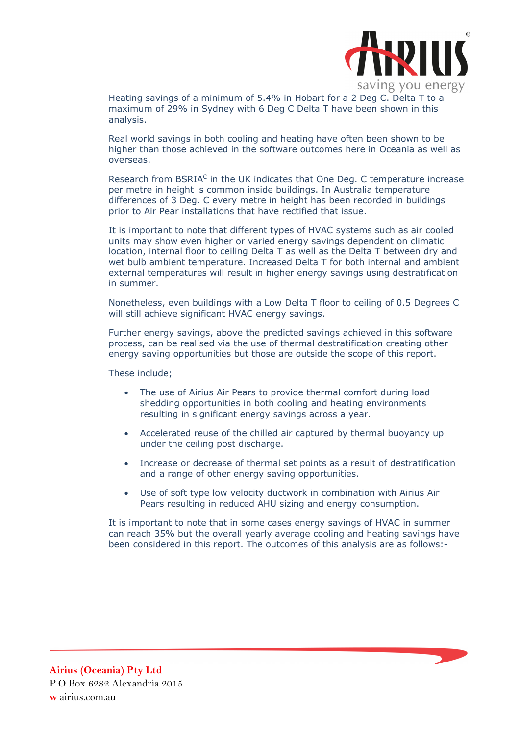

 Heating savings of a minimum of 5.4% in Hobart for a 2 Deg C. Delta T to a maximum of 29% in Sydney with 6 Deg C Delta T have been shown in this analysis.

Real world savings in both cooling and heating have often been shown to be higher than those achieved in the software outcomes here in Oceania as well as overseas.

Research from BSRIA<sup>C</sup> in the UK indicates that One Deg. C temperature increase per metre in height is common inside buildings. In Australia temperature differences of 3 Deg. C every metre in height has been recorded in buildings prior to Air Pear installations that have rectified that issue.

It is important to note that different types of HVAC systems such as air cooled units may show even higher or varied energy savings dependent on climatic location, internal floor to ceiling Delta T as well as the Delta T between dry and wet bulb ambient temperature. Increased Delta T for both internal and ambient external temperatures will result in higher energy savings using destratification in summer.

Nonetheless, even buildings with a Low Delta T floor to ceiling of 0.5 Degrees C will still achieve significant HVAC energy savings.

Further energy savings, above the predicted savings achieved in this software process, can be realised via the use of thermal destratification creating other energy saving opportunities but those are outside the scope of this report.

These include;

- The use of Airius Air Pears to provide thermal comfort during load shedding opportunities in both cooling and heating environments resulting in significant energy savings across a year.
- Accelerated reuse of the chilled air captured by thermal buoyancy up under the ceiling post discharge.
- Increase or decrease of thermal set points as a result of destratification and a range of other energy saving opportunities.
- Use of soft type low velocity ductwork in combination with Airius Air Pears resulting in reduced AHU sizing and energy consumption.

It is important to note that in some cases energy savings of HVAC in summer can reach 35% but the overall yearly average cooling and heating savings have been considered in this report. The outcomes of this analysis are as follows:-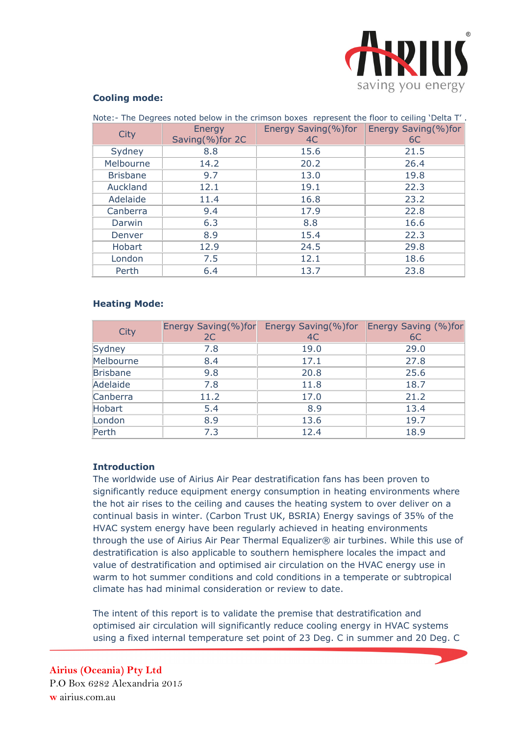

#### **Cooling mode:**

| Note:- The Degrees noted below in the crimson boxes represent the floor to ceiling 'Delta T'. |                 |                     |                            |
|-----------------------------------------------------------------------------------------------|-----------------|---------------------|----------------------------|
| City                                                                                          | Energy          | Energy Saving(%)for | <b>Energy Saving(%)for</b> |
|                                                                                               | Saving(%)for 2C | 4C                  | 6C                         |
| Sydney                                                                                        | 8.8             | 15.6                | 21.5                       |
| Melbourne                                                                                     | 14.2            | 20.2                | 26.4                       |
| <b>Brisbane</b>                                                                               | 9.7             | 13.0                | 19.8                       |
| Auckland                                                                                      | 12.1            | 19.1                | 22.3                       |
| Adelaide                                                                                      | 11.4            | 16.8                | 23.2                       |
| Canberra                                                                                      | 9.4             | 17.9                | 22.8                       |
| Darwin                                                                                        | 6.3             | 8.8                 | 16.6                       |
| Denver                                                                                        | 8.9             | 15.4                | 22.3                       |
| Hobart                                                                                        | 12.9            | 24.5                | 29.8                       |
| London                                                                                        | 7.5             | 12.1                | 18.6                       |
| Perth                                                                                         | 6.4             | 13.7                | 23.8                       |

### **Heating Mode:**

| City            | Energy Saving(%)for | Energy Saving(%)for | Energy Saving (%)for |
|-----------------|---------------------|---------------------|----------------------|
|                 | 2C                  | 4C                  | 6C                   |
| Sydney          | 7.8                 | 19.0                | 29.0                 |
| Melbourne       | 8.4                 | 17.1                | 27.8                 |
| <b>Brisbane</b> | 9.8                 | 20.8                | 25.6                 |
| Adelaide        | 7.8                 | 11.8                | 18.7                 |
| Canberra        | 11.2                | 17.0                | 21.2                 |
| Hobart          | 5.4                 | 8.9                 | 13.4                 |
| London          | 8.9                 | 13.6                | 19.7                 |
| Perth           | 7.3                 | 12.4                | 18.9                 |

# **Introduction**

The worldwide use of Airius Air Pear destratification fans has been proven to significantly reduce equipment energy consumption in heating environments where the hot air rises to the ceiling and causes the heating system to over deliver on a continual basis in winter. (Carbon Trust UK, BSRIA) Energy savings of 35% of the HVAC system energy have been regularly achieved in heating environments through the use of Airius Air Pear Thermal Equalizer® air turbines. While this use of destratification is also applicable to southern hemisphere locales the impact and value of destratification and optimised air circulation on the HVAC energy use in warm to hot summer conditions and cold conditions in a temperate or subtropical climate has had minimal consideration or review to date.

The intent of this report is to validate the premise that destratification and optimised air circulation will significantly reduce cooling energy in HVAC systems using a fixed internal temperature set point of 23 Deg. C in summer and 20 Deg. C

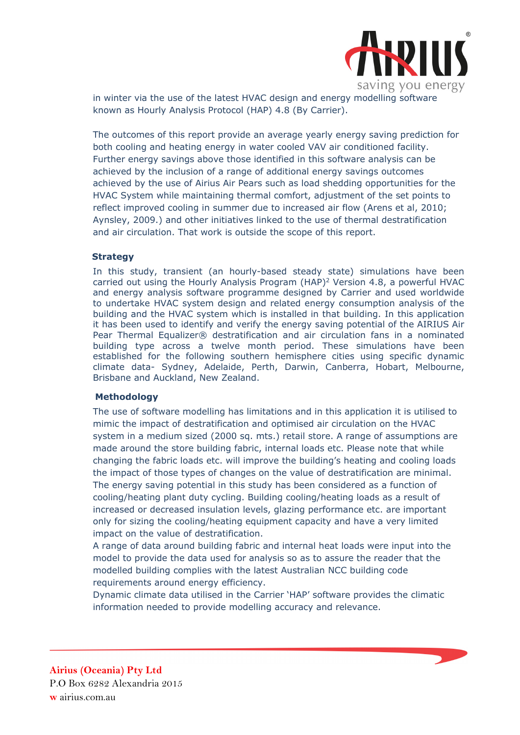

 in winter via the use of the latest HVAC design and energy modelling software known as Hourly Analysis Protocol (HAP) 4.8 (By Carrier).

The outcomes of this report provide an average yearly energy saving prediction for both cooling and heating energy in water cooled VAV air conditioned facility. Further energy savings above those identified in this software analysis can be achieved by the inclusion of a range of additional energy savings outcomes achieved by the use of Airius Air Pears such as load shedding opportunities for the HVAC System while maintaining thermal comfort, adjustment of the set points to reflect improved cooling in summer due to increased air flow (Arens et al, 2010; Aynsley, 2009.) and other initiatives linked to the use of thermal destratification and air circulation. That work is outside the scope of this report.

#### **Strategy**

In this study, transient (an hourly-based steady state) simulations have been carried out using the Hourly Analysis Program  $(HAP)^2$  Version 4.8, a powerful HVAC and energy analysis software programme designed by Carrier and used worldwide to undertake HVAC system design and related energy consumption analysis of the building and the HVAC system which is installed in that building. In this application it has been used to identify and verify the energy saving potential of the AIRIUS Air Pear Thermal Equalizer® destratification and air circulation fans in a nominated building type across a twelve month period. These simulations have been established for the following southern hemisphere cities using specific dynamic climate data- Sydney, Adelaide, Perth, Darwin, Canberra, Hobart, Melbourne, Brisbane and Auckland, New Zealand.

# **Methodology**

The use of software modelling has limitations and in this application it is utilised to mimic the impact of destratification and optimised air circulation on the HVAC system in a medium sized (2000 sq. mts.) retail store. A range of assumptions are made around the store building fabric, internal loads etc. Please note that while changing the fabric loads etc. will improve the building's heating and cooling loads the impact of those types of changes on the value of destratification are minimal. The energy saving potential in this study has been considered as a function of cooling/heating plant duty cycling. Building cooling/heating loads as a result of increased or decreased insulation levels, glazing performance etc. are important only for sizing the cooling/heating equipment capacity and have a very limited impact on the value of destratification.

A range of data around building fabric and internal heat loads were input into the model to provide the data used for analysis so as to assure the reader that the modelled building complies with the latest Australian NCC building code requirements around energy efficiency.

Dynamic climate data utilised in the Carrier 'HAP' software provides the climatic information needed to provide modelling accuracy and relevance.

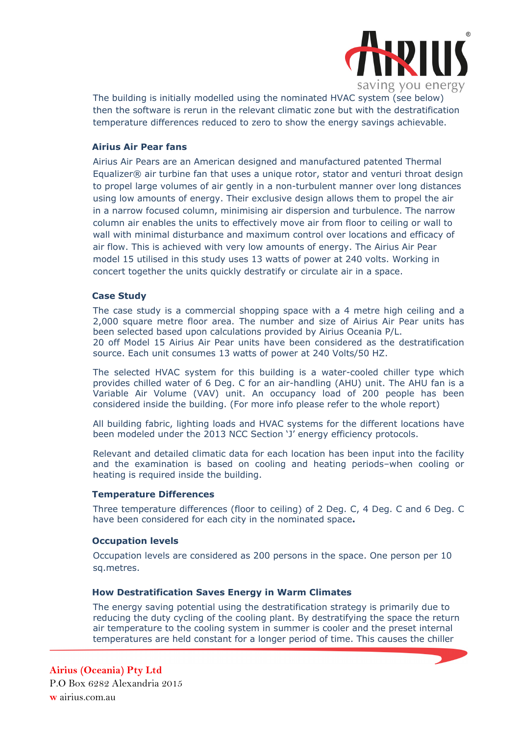

The building is initially modelled using the nominated HVAC system (see below) then the software is rerun in the relevant climatic zone but with the destratification temperature differences reduced to zero to show the energy savings achievable.

### **Airius Air Pear fans**

Airius Air Pears are an American designed and manufactured patented Thermal Equalizer® air turbine fan that uses a unique rotor, stator and venturi throat design to propel large volumes of air gently in a non-turbulent manner over long distances using low amounts of energy. Their exclusive design allows them to propel the air in a narrow focused column, minimising air dispersion and turbulence. The narrow column air enables the units to effectively move air from floor to ceiling or wall to wall with minimal disturbance and maximum control over locations and efficacy of air flow. This is achieved with very low amounts of energy. The Airius Air Pear model 15 utilised in this study uses 13 watts of power at 240 volts. Working in concert together the units quickly destratify or circulate air in a space.

### **Case Study**

The case study is a commercial shopping space with a 4 metre high ceiling and a 2,000 square metre floor area. The number and size of Airius Air Pear units has been selected based upon calculations provided by Airius Oceania P/L. 20 off Model 15 Airius Air Pear units have been considered as the destratification source. Each unit consumes 13 watts of power at 240 Volts/50 HZ.

The selected HVAC system for this building is a water-cooled chiller type which provides chilled water of 6 Deg. C for an air-handling (AHU) unit. The AHU fan is a Variable Air Volume (VAV) unit. An occupancy load of 200 people has been considered inside the building. (For more info please refer to the whole report)

All building fabric, lighting loads and HVAC systems for the different locations have been modeled under the 2013 NCC Section 'J' energy efficiency protocols.

Relevant and detailed climatic data for each location has been input into the facility and the examination is based on cooling and heating periods–when cooling or heating is required inside the building.

#### **Temperature Differences**

Three temperature differences (floor to ceiling) of 2 Deg. C, 4 Deg. C and 6 Deg. C have been considered for each city in the nominated space**.** 

#### **Occupation levels**

Occupation levels are considered as 200 persons in the space. One person per 10 sq.metres.

#### **How Destratification Saves Energy in Warm Climates**

The energy saving potential using the destratification strategy is primarily due to reducing the duty cycling of the cooling plant. By destratifying the space the return air temperature to the cooling system in summer is cooler and the preset internal temperatures are held constant for a longer period of time. This causes the chiller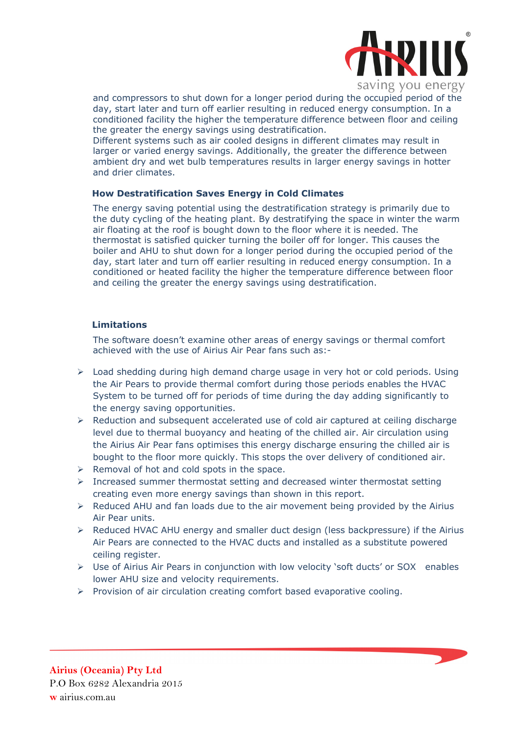

 and compressors to shut down for a longer period during the occupied period of the day, start later and turn off earlier resulting in reduced energy consumption. In a conditioned facility the higher the temperature difference between floor and ceiling the greater the energy savings using destratification.

Different systems such as air cooled designs in different climates may result in larger or varied energy savings. Additionally, the greater the difference between ambient dry and wet bulb temperatures results in larger energy savings in hotter and drier climates.

### **How Destratification Saves Energy in Cold Climates**

The energy saving potential using the destratification strategy is primarily due to the duty cycling of the heating plant. By destratifying the space in winter the warm air floating at the roof is bought down to the floor where it is needed. The thermostat is satisfied quicker turning the boiler off for longer. This causes the boiler and AHU to shut down for a longer period during the occupied period of the day, start later and turn off earlier resulting in reduced energy consumption. In a conditioned or heated facility the higher the temperature difference between floor and ceiling the greater the energy savings using destratification.

# **Limitations**

The software doesn't examine other areas of energy savings or thermal comfort achieved with the use of Airius Air Pear fans such as:-

- $\triangleright$  Load shedding during high demand charge usage in very hot or cold periods. Using the Air Pears to provide thermal comfort during those periods enables the HVAC System to be turned off for periods of time during the day adding significantly to the energy saving opportunities.
- Reduction and subsequent accelerated use of cold air captured at ceiling discharge level due to thermal buoyancy and heating of the chilled air. Air circulation using the Airius Air Pear fans optimises this energy discharge ensuring the chilled air is bought to the floor more quickly. This stops the over delivery of conditioned air.
- $\triangleright$  Removal of hot and cold spots in the space.
- $\triangleright$  Increased summer thermostat setting and decreased winter thermostat setting creating even more energy savings than shown in this report.
- $\triangleright$  Reduced AHU and fan loads due to the air movement being provided by the Airius Air Pear units.
- $\triangleright$  Reduced HVAC AHU energy and smaller duct design (less backpressure) if the Airius Air Pears are connected to the HVAC ducts and installed as a substitute powered ceiling register.
- Use of Airius Air Pears in conjunction with low velocity 'soft ducts' or SOX enables lower AHU size and velocity requirements.
- $\triangleright$  Provision of air circulation creating comfort based evaporative cooling.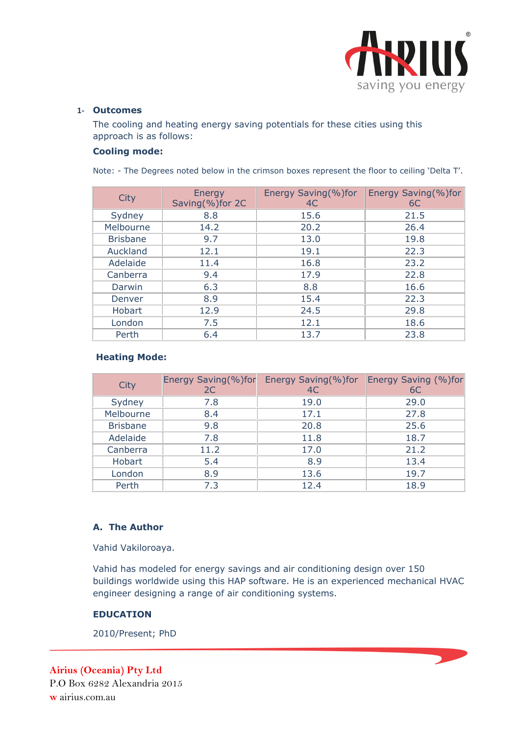

#### **1‐ Outcomes**

The cooling and heating energy saving potentials for these cities using this approach is as follows:

# **Cooling mode:**

Note: - The Degrees noted below in the crimson boxes represent the floor to ceiling 'Delta T'.

| City            | Energy<br>Saving(%)for 2C | Energy Saving(%)for<br>4C | Energy Saving(%)for<br>6C |
|-----------------|---------------------------|---------------------------|---------------------------|
| Sydney          | 8.8                       | 15.6                      | 21.5                      |
| Melbourne       | 14.2                      | 20.2                      | 26.4                      |
| <b>Brisbane</b> | 9.7                       | 13.0                      | 19.8                      |
| Auckland        | 12.1                      | 19.1                      | 22.3                      |
| Adelaide        | 11.4                      | 16.8                      | 23.2                      |
| Canberra        | 9.4                       | 17.9                      | 22.8                      |
| Darwin          | 6.3                       | 8.8                       | 16.6                      |
| Denver          | 8.9                       | 15.4                      | 22.3                      |
| Hobart          | 12.9                      | 24.5                      | 29.8                      |
| London          | 7.5                       | 12.1                      | 18.6                      |
| Perth           | 6.4                       | 13.7                      | 23.8                      |

# **Heating Mode:**

| City            | Energy Saving(%)for<br>2C | Energy Saving(%)for<br>4C | Energy Saving (%)for<br>6C |
|-----------------|---------------------------|---------------------------|----------------------------|
| Sydney          | 7.8                       | 19.0                      | 29.0                       |
| Melbourne       | 8.4                       | 17.1                      | 27.8                       |
| <b>Brisbane</b> | 9.8                       | 20.8                      | 25.6                       |
| Adelaide        | 7.8                       | 11.8                      | 18.7                       |
| Canberra        | 11.2                      | 17.0                      | 21.2                       |
| Hobart          | 5.4                       | 8.9                       | 13.4                       |
| London          | 8.9                       | 13.6                      | 19.7                       |
| Perth           | 7.3                       | 12.4                      | 18.9                       |

# **A. The Author**

Vahid Vakiloroaya.

Vahid has modeled for energy savings and air conditioning design over 150 buildings worldwide using this HAP software. He is an experienced mechanical HVAC engineer designing a range of air conditioning systems.

# **EDUCATION**

2010/Present; PhD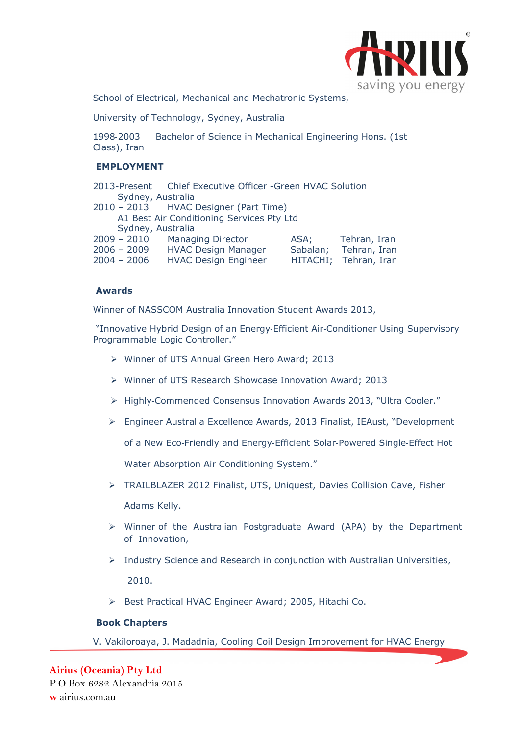

 School of Electrical, Mechanical and Mechatronic Systems,

University of Technology, Sydney, Australia

1998‐2003 Bachelor of Science in Mechanical Engineering Hons. (1st Class), Iran

# **EMPLOYMENT**

|                   | 2013-Present Chief Executive Officer -Green HVAC Solution |                       |
|-------------------|-----------------------------------------------------------|-----------------------|
| Sydney, Australia |                                                           |                       |
|                   | 2010 - 2013 HVAC Designer (Part Time)                     |                       |
|                   | A1 Best Air Conditioning Services Pty Ltd                 |                       |
| Sydney, Australia |                                                           |                       |
| $2009 - 2010$     | <b>Managing Director</b>                                  | ASA; Tehran, Iran     |
| $2006 - 2009$     | <b>HVAC Design Manager</b>                                | Sabalan; Tehran, Iran |
| $2004 - 2006$     | <b>HVAC Design Engineer</b>                               | HITACHI; Tehran, Iran |
|                   |                                                           |                       |

#### **Awards**

Winner of NASSCOM Australia Innovation Student Awards 2013,

 "Innovative Hybrid Design of an Energy‐Efficient Air‐Conditioner Using Supervisory Programmable Logic Controller."

- Winner of UTS Annual Green Hero Award; 2013
- Winner of UTS Research Showcase Innovation Award; 2013
- Highly‐Commended Consensus Innovation Awards 2013, "Ultra Cooler."
- Engineer Australia Excellence Awards, 2013 Finalist, IEAust, "Development

of a New Eco‐Friendly and Energy‐Efficient Solar‐Powered Single‐Effect Hot

Water Absorption Air Conditioning System."

TRAILBLAZER 2012 Finalist, UTS, Uniquest, Davies Collision Cave, Fisher

Adams Kelly.

- $\triangleright$  Winner of the Australian Postgraduate Award (APA) by the Department of Innovation,
- $\triangleright$  Industry Science and Research in conjunction with Australian Universities,

2010.

▶ Best Practical HVAC Engineer Award; 2005, Hitachi Co.

#### **Book Chapters**

V. Vakiloroaya, J. Madadnia, Cooling Coil Design Improvement for HVAC Energy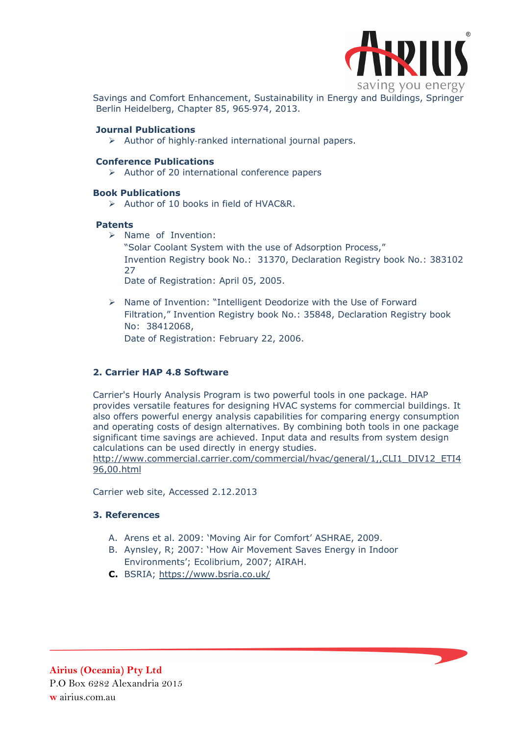

 Savings and Comfort Enhancement, Sustainability in Energy and Buildings, Springer Berlin Heidelberg, Chapter 85, 965‐974, 2013.

#### **Journal Publications**

Author of highly‐ranked international journal papers.

### **Conference Publications**

 $\triangleright$  Author of 20 international conference papers

### **Book Publications**

 $\triangleright$  Author of 10 books in field of HVAC&R.

### **Patents**

- $\triangleright$  Name of Invention:
	- "Solar Coolant System with the use of Adsorption Process," Invention Registry book No.: 31370, Declaration Registry book No.: 383102 27

Date of Registration: April 05, 2005.

 $\triangleright$  Name of Invention: "Intelligent Deodorize with the Use of Forward Filtration," Invention Registry book No.: 35848, Declaration Registry book No: 38412068, Date of Registration: February 22, 2006.

# **2. Carrier HAP 4.8 Software**

Carrier's Hourly Analysis Program is two powerful tools in one package. HAP provides versatile features for designing HVAC systems for commercial buildings. It also offers powerful energy analysis capabilities for comparing energy consumption and operating costs of design alternatives. By combining both tools in one package significant time savings are achieved. Input data and results from system design calculations can be used directly in energy studies.

http://www.commercial.carrier.com/commercial/hvac/general/1,,CLI1\_DIV12\_ETI4 96,00.html

Carrier web site, Accessed 2.12.2013

# **3. References**

- A. Arens et al. 2009: 'Moving Air for Comfort' ASHRAE, 2009.
- B. Aynsley, R; 2007: 'How Air Movement Saves Energy in Indoor Environments'; Ecolibrium, 2007; AIRAH.
- **C.** BSRIA; https://www.bsria.co.uk/